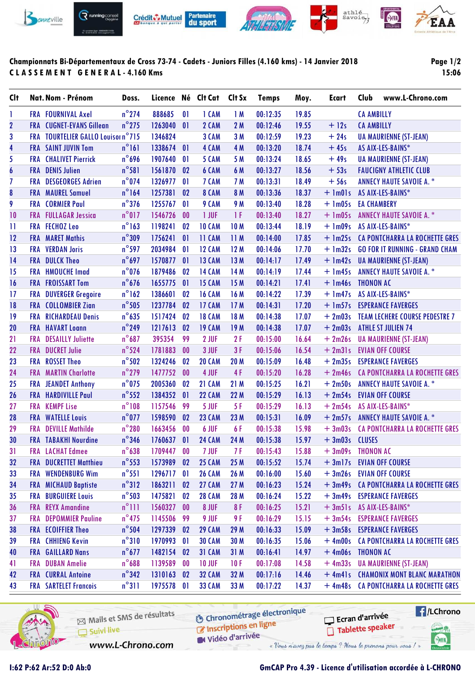

## **Championnats Bi-Départementaux de Cross 73-74 - Cadets - Juniors Filles (4.160 kms) - 14 Janvier 2018 C L A S S E M E N T G E N E R A L - 4.160 Kms**

**Page 1/2 15:06**

| Clt                     |            | Nat. Nom - Prénom                  | Doss.           |            |                | Licence Né Clt Cat | Clt Sx      | <b>Temps</b> | Moy.  | Ecart             | <b>Club</b>        | www.L-Chrono.com                       |
|-------------------------|------------|------------------------------------|-----------------|------------|----------------|--------------------|-------------|--------------|-------|-------------------|--------------------|----------------------------------------|
| 1                       |            | <b>FRA FOURNIVAL Axel</b>          | $n^{\circ}$ 274 | 888685     | 01             | 1 CAM              | 1M          | 00:12:35     | 19.85 |                   | <b>CA AMBILLY</b>  |                                        |
| $\overline{2}$          |            | <b>FRA</b> CUGNET-EVANS Gillean    | $n^{\circ}$ 275 | 1263040    | 01             | 2 CAM              | 2M          | 00:12:46     | 19.55 | $+12s$            | <b>CA AMBILLY</b>  |                                        |
| 3                       |            | FRA TOURTELIER GALLO Louison n°715 |                 | 1346824    |                | 3 CAM              | 3 M         | 00:12:59     | 19.23 | $+24s$            |                    | <b>UA MAURIENNE (ST-JEAN)</b>          |
| $\overline{\mathbf{r}}$ |            | <b>FRA</b> SAINT JUVIN Tom         | $n^{\circ}161$  | 1338674    | 01             | 4 CAM              | 4 M         | 00:13:20     | 18.74 | $+45s$            |                    | AS AIX-LES-BAINS*                      |
| 5                       |            | <b>FRA</b> CHALIVET Pierrick       | $n^{\circ}$ 696 | 1907640    | 01             | 5 CAM              | 5 M         | 00:13:24     | 18.65 | $+49s$            |                    | <b>UA MAURIENNE (ST-JEAN)</b>          |
| 6                       |            | <b>FRA</b> DENIS Julien            | $n^{\circ}$ 581 | 1561870    | 02             | 6 CAM              | 6 M         | 00:13:27     | 18.56 | $+53s$            |                    | <b>FAUCIGNY ATHLETIC CLUB</b>          |
| $\overline{I}$          | <b>FRA</b> | <b>DESGEORGES Adrien</b>           | $n^{\circ}$ 074 | 1326977    | 01             | 7 CAM              | 7 M         | 00:13:31     | 18.49 | $+56s$            |                    | <b>ANNECY HAUTE SAVOIE A. *</b>        |
| ${\bf 8}$               |            | <b>FRA</b> MAUREL Samuel           | $n^{\circ}164$  | 1257381    | 02             | 8 CAM              | 8 M         | 00:13:36     | 18.37 | $+$ 1m01s         |                    | AS AIX-LES-BAINS*                      |
| 9                       | <b>FRA</b> | <b>CORMIER Paul</b>                | $n^{\circ}$ 376 | 1255767    | 01             | 9 CAM              | 9 M         | 00:13:40     | 18.28 | $+$ 1m05s         | <b>EA CHAMBERY</b> |                                        |
| 10                      | <b>FRA</b> | <b>FULLAGAR Jessica</b>            | $n^{\circ}017$  | 1546726    | 00             | 1 JUF              | 1F          | 00:13:40     | 18.27 | $+$ 1m05s         |                    | <b>ANNECY HAUTE SAVOIE A. *</b>        |
| $\mathbf{1}$            |            | <b>FRA FECHOZ Leo</b>              | $n^{\circ}$ 163 | 1198241    | 02             | 10 CAM             | <b>10M</b>  | 00:13:44     | 18.19 | $+ \text{lm09s}$  |                    | AS AIX-LES-BAINS*                      |
| 12                      | <b>FRA</b> | <b>MARET Mathis</b>                | $n^{\circ}309$  | 1756241    | 01             | 11 CAM             | 11M         | 00:14:00     | 17.85 | $+$ 1m25s         |                    | CA PONTCHARRA LA ROCHETTE GRES         |
| 13                      | <b>FRA</b> | <b>VERDAN Joris</b>                | $n^{\circ}$ 597 | 2034984    | 01             | <b>12 CAM</b>      | 12M         | 00:14:06     | 17.70 | $+ \ln 32s$       |                    | <b>GO FOR IT RUNNING - GRAND CHAM</b>  |
| 14                      |            | <b>FRA</b> DULCK Theo              | $n^{\circ}697$  | 1570877    | 01             | <b>13 CAM</b>      | 13 M        | 00:14:17     | 17.49 | $+$ 1m42s         |                    | <b>UA MAURIENNE (ST-JEAN)</b>          |
| 15                      | <b>FRA</b> | <b>HMOUCHE Imad</b>                | $n^{\circ}$ 076 | 1879486    | 02             | <b>14 CAM</b>      | 14 M        | 00:14:19     | 17.44 | $+$ 1m45s         |                    | <b>ANNECY HAUTE SAVOIE A. *</b>        |
| 16                      |            | <b>FRA FROISSART Tom</b>           | $n^{\circ}$ 676 | 1655775    | 01             | <b>15 CAM</b>      | 15M         | 00:14:21     | 17.41 | $+$ 1m46s         | <b>THONON AC</b>   |                                        |
| 17                      | FRA        | <b>DUVERGER Gregoire</b>           | $n^{\circ}$ 162 | 1386601    | 02             | <b>16 CAM</b>      | 16 M        | 00:14:22     | 17.39 | $+$ 1m47s         |                    | AS AIX-LES-BAINS*                      |
| 18                      | <b>FRA</b> | <b>COLLOMBIER Zian</b>             | $n^{\circ}$ 505 | 1237784    | 02             | 17 CAM             | 17M         | 00:14:31     | 17.20 | $+$ 1m57s         |                    | <b>ESPERANCE FAVERGES</b>              |
| 19                      | <b>FRA</b> | <b>RICHARDEAU Denis</b>            | $n^{\circ}$ 635 | 1517424    | 02             | <b>18 CAM</b>      | 18 M        | 00:14:38     | 17.07 | $+2m03s$          |                    | <b>TEAM LECHERE COURSE PEDESTRE 7</b>  |
| 20                      | <b>FRA</b> | <b>HAVART Loann</b>                | $n^{\circ}$ 249 | 1217613    | 02             | <b>19 CAM</b>      | 19 M        | 00:14:38     | 17.07 | $+2m03s$          |                    | <b>ATHLE ST JULIEN 74</b>              |
| 21                      | <b>FRA</b> | <b>DESAILLY Juliette</b>           | $n^{\circ}$ 687 | 395354     | 99             | 2 JUF              | 2F          | 00:15:00     | 16.64 | $+2m26s$          |                    | <b>UA MAURIENNE (ST-JEAN)</b>          |
| 22                      | <b>FRA</b> | <b>DUCRET Julie</b>                | $n^{\circ}$ 524 | 1781883    | 00             | 3 JUF              | 3F          | 00:15:06     | 16.54 | $+2m31s$          |                    | <b>EVIAN OFF COURSE</b>                |
| 23                      | <b>FRA</b> | <b>ROSSET Theo</b>                 | $n^{\circ}502$  | 1324246    | 02             | <b>20 CAM</b>      | <b>20 M</b> | 00:15:09     | 16.48 | $+2m35s$          |                    | <b>ESPERANCE FAVERGES</b>              |
| 24                      | <b>FRA</b> | <b>MARTIN Charlotte</b>            | $n^{\circ}$ 279 | 1477752    | 00             | 4 JUF              | 4F          | 00:15:20     | 16.28 | $+2m46s$          |                    | CA PONTCHARRA LA ROCHETTE GRES         |
| 25                      | <b>FRA</b> | <b>JEANDET Anthony</b>             | $n^{\circ}$ 075 | 2005360    | 02             | 21 CAM             | 21 M        | 00:15:25     | 16.21 | $+2m50s$          |                    | <b>ANNECY HAUTE SAVOIE A. *</b>        |
| 26                      | <b>FRA</b> | <b>HARDIVILLE Paul</b>             | $n^{\circ}$ 552 | 1384352    | 01             | <b>22 CAM</b>      | 22 M        | 00:15:29     | 16.13 | $+2m54s$          |                    | <b>EVIAN OFF COURSE</b>                |
| 27                      | <b>FRA</b> | <b>KEMPF Lise</b>                  | $n^{\circ}108$  | 1157546    | 99             | 5 JUF              | 5F          | 00:15:29     | 16.13 | $+2m54s$          |                    | AS AIX-LES-BAINS*                      |
| 28                      |            | <b>FRA WATELLE Louis</b>           | $n^{\circ}$ 077 | 1598590    | 02             | <b>23 CAM</b>      | 23 M        | 00:15:31     | 16.09 | $+2m57s$          |                    | <b>ANNECY HAUTE SAVOIE A. *</b>        |
| 29                      | FRA        | <b>DEVILLE Mathilde</b>            | $n^{\circ}280$  | 1663456    | 0 <sub>0</sub> | 6 JUF              | 6F          | 00:15:38     | 15.98 | $+3m03s$          |                    | <b>CA PONTCHARRA LA ROCHETTE GRES</b>  |
| 30                      |            | <b>FRA</b> TABAKHI Nourdine        | $n^{\circ}$ 346 | 1760637    | 01             | <b>24 CAM</b>      | 24 M        | 00:15:38     | 15.97 | + 3m03s CLUSES    |                    |                                        |
| 31                      |            | <b>FRA</b> LACHAT Edmee            | $n^{\circ}$ 638 | 1709447    | 00             | 7 JUF              | 7F          | 00:15:43     | 15.88 | + 3m09s THONON AC |                    |                                        |
| 32                      |            | <b>FRA DUCRETTET Matthieu</b>      | $n^{\circ}$ 553 | 1573989    | 02             | <b>25 CAM</b>      | 25 M        | 00:15:52     | 15.74 | $+3ml7s$          |                    | <b>EVIAN OFF COURSE</b>                |
| 33                      |            | FRA WENDENBURG Wim                 | $n^{\circ}$ 551 | 1296717    | 0              | <b>26 CAM</b>      | 26 M        | 00:16:00     | 15.60 |                   |                    | + 3m26s EVIAN OFF COURSE               |
| 34                      |            | <b>FRA MICHAUD Baptiste</b>        | $n^{\circ}312$  | 1863211    | 02             | <b>27 CAM</b>      | 27M         | 00:16:23     | 15.24 |                   |                    | + 3m49s CA PONTCHARRA LA ROCHETTE GRES |
| 35                      | FRA        | <b>BURGUIERE Louis</b>             | $n^{\circ}$ 503 | 1475821    | 02             | <b>28 CAM</b>      | 28 M        | 00:16:24     | 15.22 | $+3m49s$          |                    | <b>ESPERANCE FAVERGES</b>              |
| 36                      | <b>FRA</b> | <b>REYX Amandine</b>               | $n^{\circ}$ ]]] | 1560327    | 00             | 8 JUF              | 8F          | 00:16:25     | 15.21 | $+3m51s$          |                    | AS AIX-LES-BAINS*                      |
| 37                      | FRA        | <b>DEPOMMIER Pauline</b>           | $n^{\circ}$ 475 | 1145506    | 99             | 9 JUF              | 9 F         | 00:16:29     | 15.15 | $+3m54s$          |                    | <b>ESPERANCE FAVERGES</b>              |
| 38                      |            | <b>FRA</b> ECOIFFIER Theo          | $n^{\circ}$ 504 | 1297339    | 02             | <b>29 CAM</b>      | 29 M        | 00:16:33     | 15.09 |                   |                    | + 3m58s ESPERANCE FAVERGES             |
| 39                      |            | <b>FRA</b> CHHIENG Kevin           | $n^{\circ}310$  | 1970993    | $\mathbf{0}$   | <b>30 CAM</b>      | 30 M        | 00:16:35     | 15.06 |                   |                    | + 4m00s CA PONTCHARRA LA ROCHETTE GRES |
| 40                      |            | FRA GAILLARD Nans                  | $n^{\circ}$ 677 | 1482154 02 |                | <b>31 CAM</b>      | 31 M        | 00:16:41     | 14.97 | +4m06s THONON AC  |                    |                                        |
| 41                      | FRA        | <b>DUBAN Amelie</b>                | $n^{\circ}$ 688 | 1139589    | 00             | <b>10 JUF</b>      | 10F         | 00:17:08     | 14.58 | $+4m33s$          |                    | <b>UA MAURIENNE (ST-JEAN)</b>          |
| 42                      |            | <b>FRA</b> CURRAL Antoine          | $n^{\circ}$ 342 | 1310163    | 02             | <b>32 CAM</b>      | 32 M        | 00:17:16     | 14.46 |                   |                    | + 4m41s CHAMONIX MONT BLANC MARATHON   |
| 43                      |            | <b>FRA SARTELET Francois</b>       | $n^{\circ}311$  | 1975578 01 |                | <b>33 CAM</b>      | 33 M        | 00:17:22     | 14.37 |                   |                    | + 4m48s CA PONTCHARRA LA ROCHETTE GRES |
|                         |            |                                    |                 |            |                |                    |             |              |       |                   |                    |                                        |



**O** Chronométrage électronique Mails et SMS de résultats Chronomedage Suivi live W Vidéo d'arrivée www.L-Chrono.com « Vous n'avez pas le temps ? Nous le prenons pour vous !



SHA

## **I:62 P:62 Ar:52 D:0 Ab:0 GmCAP Pro 4.39 - Licence d'utilisation accordée à L-CHRONO**